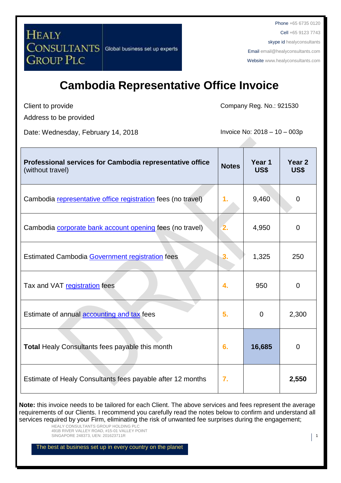**HEALY CONSULTANTS** Global business set up experts **GROUP PLC** 

Phone +65 6735 0120 Cell +65 9123 7743 skype id healyconsultants Email [email@healyconsultants.com](mailto:EMAIL@HEALYCONSULTANTS.COM) Website [www.healyconsultants.com](http://www.healyconsultants.com/)

## **Cambodia Representative Office Invoice**

Client to provide

Address to be provided

Date: Wednesday, February 14, 2018 **Invoice No: 2018** - 10 - 003p

Company Reg. No.: 921530

| Professional services for Cambodia representative office<br>(without travel) | <b>Notes</b> | Year 1<br>US\$ | Year <sub>2</sub><br>US\$ |
|------------------------------------------------------------------------------|--------------|----------------|---------------------------|
| Cambodia representative office registration fees (no travel)                 | 1.           | 9,460          | $\mathbf 0$               |
| Cambodia <b>corporate bank account opening</b> fees (no travel)              |              | 4,950          | 0                         |
| <b>Estimated Cambodia Government registration fees</b>                       | 3.           | 1,325          | 250                       |
| Tax and VAT registration fees                                                | 4.           | 950            | 0                         |
| Estimate of annual <b>accounting and tax</b> fees                            | 5.           | $\overline{0}$ | 2,300                     |
| <b>Total Healy Consultants fees payable this month</b>                       | 6.           | 16,685         | $\overline{0}$            |
| Estimate of Healy Consultants fees payable after 12 months                   | 7.           |                | 2,550                     |

**Note:** this invoice needs to be tailored for each Client. The above services and fees represent the average requirements of our Clients. I recommend you carefully read the notes below to confirm and understand all services required by your Firm, eliminating the risk of unwanted fee surprises during the engagement;

HEALY CONSULTANTS GROUP HOLDING PLC 491B RIVER VALLEY ROAD, #15-01 VALLEY POINT SINGAPORE 248373, UEN: 201623711R 1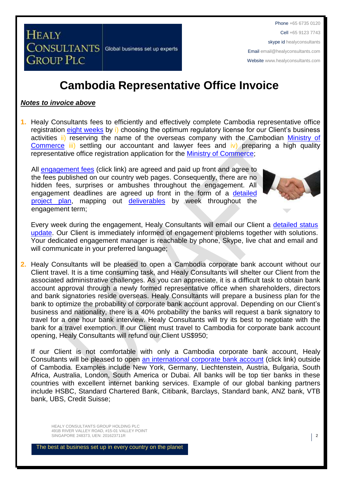**HEALY CONSULTANTS** Global business set up experts **GROUP PLC** 

#### **Cambodia Representative Office Invoice**

#### *Notes to invoice above*

**1.** Healy Consultants fees to efficiently and effectively complete Cambodia representative office registration [eight weeks](http://www.healyconsultants.com/cambodia-company-registration/fees-timelines/) by i) choosing the optimum regulatory license for our Client's business activities ii) reserving the name of the overseas company with the Cambodian [Ministry of](http://www.moc.gov.kh/)  [Commerce](http://www.moc.gov.kh/) iii) settling our accountant and lawyer fees and iv) preparing a high quality representative office registration application for the [Ministry of Commerce;](http://www.moc.gov.kh/)

All [engagement fees](http://www.healyconsultants.com/company-registration-fees/) (click link) are agreed and paid up front and agree to the fees published on our country web pages. Consequently, there are no hidden fees, surprises or ambushes throughout the engagement. All engagement deadlines are agreed up front in the form of a [detailed](http://www.healyconsultants.com/index-important-links/example-project-plan/)  [project plan,](http://www.healyconsultants.com/index-important-links/example-project-plan/) mapping out [deliverables](http://www.healyconsultants.com/deliverables-to-our-clients/) by week throughout the engagement term;



Every week during the engagement, Healy Consultants will email our Client a [detailed status](http://www.healyconsultants.com/index-important-links/weekly-engagement-status-email/)  [update.](http://www.healyconsultants.com/index-important-links/weekly-engagement-status-email/) Our Client is immediately informed of engagement problems together with solutions. Your dedicated engagement manager is reachable by phone, Skype, live chat and email and will communicate in your preferred language;

**2.** Healy Consultants will be pleased to open a Cambodia corporate bank account without our Client travel. It is a time consuming task, and Healy Consultants will shelter our Client from the associated administrative challenges. As you can appreciate, it is a difficult task to obtain bank account approval through a newly formed representative office when shareholders, directors and bank signatories reside overseas. Healy Consultants will prepare a business plan for the bank to optimize the probability of corporate bank account approval. Depending on our Client's business and nationality, there is a 40% probability the banks will request a bank signatory to travel for a one hour bank interview. Healy Consultants will try its best to negotiate with the bank for a travel exemption. If our Client must travel to Cambodia for corporate bank account opening, Healy Consultants will refund our Client US\$950;

If our Client is not comfortable with only a Cambodia corporate bank account, Healy Consultants will be pleased to open [an international corporate bank account](http://www.healyconsultants.com/international-banking/) (click link) outside of Cambodia. Examples include New York, Germany, Liechtenstein, Austria, Bulgaria, South Africa, Australia, London, South America or Dubai. All banks will be top tier banks in these countries with excellent internet banking services. Example of our global banking partners include HSBC, Standard Chartered Bank, Citibank, Barclays, Standard bank, ANZ bank, VTB bank, UBS, Credit Suisse;

HEALY CONSULTANTS GROUP HOLDING PLC 491B RIVER VALLEY ROAD, #15-01 VALLEY POINT SINGAPORE 248373, UEN: 201623711R 2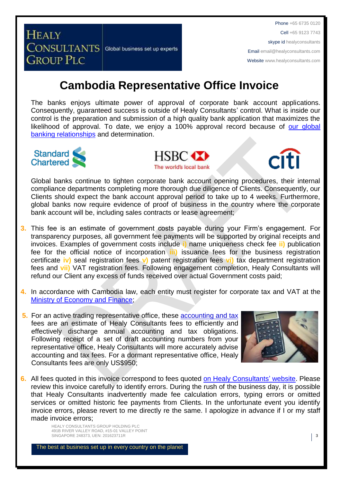Phone +65 6735 0120 Cell +65 9123 7743 skype id healyconsultants Email [email@healyconsultants.com](mailto:EMAIL@HEALYCONSULTANTS.COM) Website [www.healyconsultants.com](http://www.healyconsultants.com/)

## **Cambodia Representative Office Invoice**

Global business set up experts

The banks enjoys ultimate power of approval of corporate bank account applications. Consequently, guaranteed success is outside of Healy Consultants' control. What is inside our control is the preparation and submission of a high quality bank application that maximizes the likelihood of approval. To date, we enjoy a 100% approval record because of our global [banking relationships](http://www.healyconsultants.com/international-banking/corporate-accounts/) and determination.



**HEALY** 

**CONSULTANTS** 

**GROUP PLC** 





Global banks continue to tighten corporate bank account opening procedures, their internal compliance departments completing more thorough due diligence of Clients. Consequently, our Clients should expect the bank account approval period to take up to 4 weeks. Furthermore, global banks now require evidence of proof of business in the country where the corporate bank account will be, including sales contracts or lease agreement;

- **3.** This fee is an estimate of government costs payable during your Firm's engagement. For transparency purposes, all government fee payments will be supported by original receipts and invoices. Examples of government costs include **i)** name uniqueness check fee **ii)** publication fee for the official notice of incorporation **iii)** issuance fees for the business registration certificate **iv)** seal registration fees **v)** patent registration fees **vi)** tax department registration fees and **vii)** VAT registration fees. Following engagement completion, Healy Consultants will refund our Client any excess of funds received over actual Government costs paid;
- **4.** In accordance with Cambodia law, each entity must register for corporate tax and VAT at the [Ministry of Economy and Finance;](http://www.mef.gov.kh/)
- **5.** For an active trading representative office, these accounting and tax fees are an estimate of Healy Consultants fees to efficiently and effectively discharge annual accounting and tax obligations. Following receipt of a set of draft accounting numbers from your representative office, Healy Consultants will more accurately advise accounting and tax fees. For a dormant representative office, Healy Consultants fees are only US\$950;



**6.** All fees quoted in this invoice correspond to fees quoted [on Healy Consultants'](http://www.healyconsultants.com/company-registration-fees/) website. Please review this invoice carefully to identify errors. During the rush of the business day, it is possible that Healy Consultants inadvertently made fee calculation errors, typing errors or omitted services or omitted historic fee payments from Clients. In the unfortunate event you identify invoice errors, please revert to me directly re the same. I apologize in advance if I or my staff made invoice errors;

> HEALY CONSULTANTS GROUP HOLDING PLC 491B RIVER VALLEY ROAD, #15-01 VALLEY POINT SINGAPORE 248373, UEN: 201623711R 3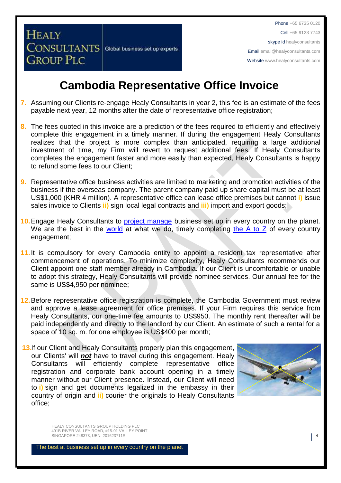**CONSULTANTS** Global business set up experts

**HEALY** 

**GROUP PLC** 

Phone +65 6735 0120 Cell +65 9123 7743 skype id healyconsultants Email [email@healyconsultants.com](mailto:EMAIL@HEALYCONSULTANTS.COM) Website [www.healyconsultants.com](http://www.healyconsultants.com/)

## **Cambodia Representative Office Invoice**

- **7.** Assuming our Clients re-engage Healy Consultants in year 2, this fee is an estimate of the fees payable next year, 12 months after the date of representative office registration;
- **8.** The fees quoted in this invoice are a prediction of the fees required to efficiently and effectively complete this engagement in a timely manner. If during the engagement Healy Consultants realizes that the project is more complex than anticipated, requiring a large additional investment of time, my Firm will revert to request additional fees. If Healy Consultants completes the engagement faster and more easily than expected, Healy Consultants is happy to refund some fees to our Client;
- **9.** Representative office business activities are limited to marketing and promotion activities of the business if the overseas company. The parent company paid up share capital must be at least US\$1,000 (KHR 4 million). A representative office can lease office premises but cannot **i)** issue sales invoice to Clients **ii)** sign local legal contracts and **iii)** import and export goods;
- **10.** Engage Healy Consultants to **project manage** business set up in every country on the planet. We are the best in the [world](http://www.healyconsultants.com/best-in-the-world/) at what we do, timely completing [the A to Z](http://www.healyconsultants.com/a-to-z-of-business-set-up/) of every country engagement;
- 11. It is compulsory for every Cambodia entity to appoint a resident tax representative after commencement of operations. To minimize complexity, Healy Consultants recommends our Client appoint one staff member already in Cambodia. If our Client is uncomfortable or unable to adopt this strategy, Healy Consultants will provide nominee services. Our annual fee for the same is US\$4,950 per nominee;
- **12.**Before representative office registration is complete, the Cambodia Government must review and approve a lease agreement for office premises. If your Firm requires this service from Healy Consultants, our one-time fee amounts to US\$950. The monthly rent thereafter will be paid independently and directly to the landlord by our Client. An estimate of such a rental for a space of 10 sq. m. for one employee is US\$400 per month;
- **13.**If our Client and Healy Consultants properly plan this engagement, our Clients' will *not* have to travel during this engagement. Healy Consultants will efficiently complete representative office registration and corporate bank account opening in a timely manner without our Client presence. Instead, our Client will need to **i)** sign and get documents legalized in the embassy in their country of origin and **ii)** courier the originals to Healy Consultants office;



HEALY CONSULTANTS GROUP HOLDING PLC 491B RIVER VALLEY ROAD, #15-01 VALLEY POINT SINGAPORE 248373, UEN: 201623711R 4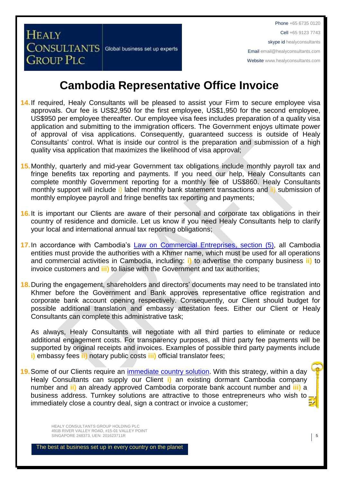**CONSULTANTS** Global business set up experts

**GROUP PLC** 

**HEALY** 

## **Cambodia Representative Office Invoice**

- **14.**If required, Healy Consultants will be pleased to assist your Firm to secure employee visa approvals. Our fee is US\$2,950 for the first employee, US\$1,950 for the second employee, US\$950 per employee thereafter. Our employee visa fees includes preparation of a quality visa application and submitting to the immigration officers. The Government enjoys ultimate power of approval of visa applications. Consequently, guaranteed success is outside of Healy Consultants' control. What is inside our control is the preparation and submission of a high quality visa application that maximizes the likelihood of visa approval;
- **15.**Monthly, quarterly and mid-year Government tax obligations include monthly payroll tax and fringe benefits tax reporting and payments. If you need our help, Healy Consultants can complete monthly Government reporting for a monthly fee of US\$860. Healy Consultants monthly support will include i) label monthly bank statement transactions and ii) submission of monthly employee payroll and fringe benefits tax reporting and payments;
- **16.**It is important our Clients are aware of their personal and corporate tax obligations in their country of residence and domicile. Let us know if you need Healy Consultants help to clarify your local and international annual tax reporting obligations;
- **17.**In accordance with Cambodia's [Law on Commercial Entreprises,](http://www.cambodiainvestment.gov.kh/content/uploads/2012/03/Law-on-Commercial-Enterprises_English_050517.pdf) section (5), all Cambodia entities must provide the authorities with a Khmer name, which must be used for all operations and commercial activities in Cambodia, including: **i)** to advertise the company business **ii)** to invoice customers and **iii)** to liaise with the Government and tax authorities;
- **18.**During the engagement, shareholders and directors' documents may need to be translated into Khmer before the Government and Bank approves representative office registration and corporate bank account opening respectively. Consequently, our Client should budget for possible additional translation and embassy attestation fees. Either our Client or Healy Consultants can complete this administrative task;

As always, Healy Consultants will negotiate with all third parties to eliminate or reduce additional engagement costs. For transparency purposes, all third party fee payments will be supported by original receipts and invoices. Examples of possible third party payments include **i)** embassy fees **ii)** notary public costs **iii)** official translator fees;

**19.**Some of our Clients require an [immediate country](http://www.healyconsultants.com/turnkey-solutions/) solution. With this strategy, within a day Healy Consultants can supply our Client **i)** an existing dormant Cambodia company number and **ii)** an already approved Cambodia corporate bank account number and **iii)** a business address. Turnkey solutions are attractive to those entrepreneurs who wish to immediately close a country deal, sign a contract or invoice a customer;

> HEALY CONSULTANTS GROUP HOLDING PLC 491B RIVER VALLEY ROAD, #15-01 VALLEY POINT SINGAPORE 248373, UEN: 201623711R **5**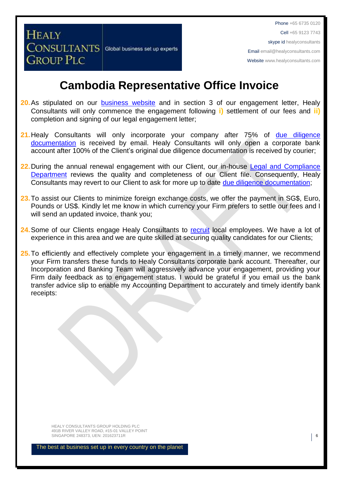**CONSULTANTS** Global business set up experts **GROUP PLC** 

**HEALY** 

## **Cambodia Representative Office Invoice**

- 20. As stipulated on our **[business website](http://www.healyconsultants.com/)** and in section 3 of our engagement letter, Healy Consultants will only commence the engagement following **i)** settlement of our fees and **ii)** completion and signing of our legal engagement letter;
- **21.**Healy Consultants will only incorporate your company after 75% of [due diligence](http://www.healyconsultants.com/due-diligence/)  [documentation](http://www.healyconsultants.com/due-diligence/) is received by email. Healy Consultants will only open a corporate bank account after 100% of the Client's original due diligence documentation is received by courier;
- 22. During the annual renewal engagement with our Client, our in-house Legal and Compliance [Department](http://www.healyconsultants.com/about-us/key-personnel/cai-xin-profile/) reviews the quality and completeness of our Client file. Consequently, Healy Consultants may revert to our Client to ask for more up to date [due diligence documentation;](http://www.healyconsultants.com/due-diligence/)
- **23.**To assist our Clients to minimize foreign exchange costs, we offer the payment in SG\$, Euro, Pounds or US\$. Kindly let me know in which currency your Firm prefers to settle our fees and I will send an updated invoice, thank you;
- **24.**Some of our Clients engage Healy Consultants to [recruit](http://www.healyconsultants.com/corporate-outsourcing-services/how-we-help-our-clients-recruit-quality-employees/) local employees. We have a lot of experience in this area and we are quite skilled at securing quality candidates for our Clients;
- 25. To efficiently and effectively complete your engagement in a timely manner, we recommend your Firm transfers these funds to Healy Consultants corporate bank account. Thereafter, our Incorporation and Banking Team will aggressively advance your engagement, providing your Firm daily feedback as to engagement status. I would be grateful if you email us the bank transfer advice slip to enable my Accounting Department to accurately and timely identify bank receipts:

HEALY CONSULTANTS GROUP HOLDING PLC 491B RIVER VALLEY ROAD, #15-01 VALLEY POINT SINGAPORE 248373, UEN: 201623711R 6